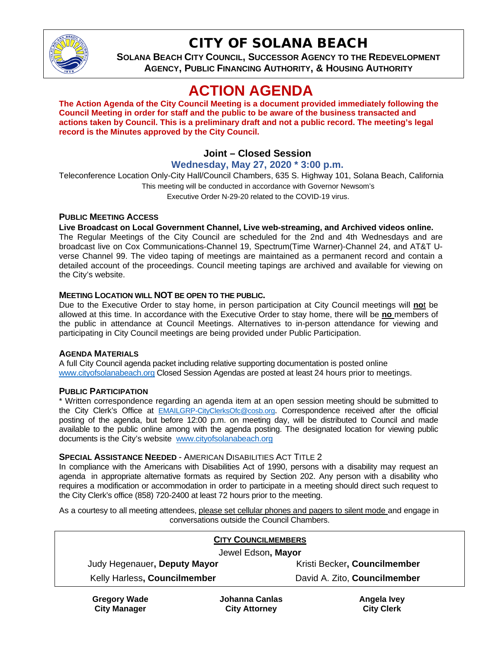

## CITY OF SOLANA BEACH

**SOLANA BEACH CITY COUNCIL, SUCCESSOR AGENCY TO THE REDEVELOPMENT AGENCY, PUBLIC FINANCING AUTHORITY, & HOUSING AUTHORITY**

# **ACTION AGENDA**

**The Action Agenda of the City Council Meeting is a document provided immediately following the Council Meeting in order for staff and the public to be aware of the business transacted and actions taken by Council. This is a preliminary draft and not a public record. The meeting's legal record is the Minutes approved by the City Council.**

## **Joint – Closed Session**

## **Wednesday, May 27, 2020 \* 3:00 p.m.**

Teleconference Location Only-City Hall/Council Chambers, 635 S. Highway 101, Solana Beach, California This meeting will be conducted in accordance with Governor Newsom's Executive Order N-29-20 related to the COVID-19 virus.

#### **PUBLIC MEETING ACCESS**

#### **Live Broadcast on Local Government Channel, Live web-streaming, and Archived videos online.**

The Regular Meetings of the City Council are scheduled for the 2nd and 4th Wednesdays and are broadcast live on Cox Communications-Channel 19, Spectrum(Time Warner)-Channel 24, and AT&T Uverse Channel 99. The video taping of meetings are maintained as a permanent record and contain a detailed account of the proceedings. Council meeting tapings are archived and available for viewing on the City's website.

#### **MEETING LOCATION WILL NOT BE OPEN TO THE PUBLIC.**

Due to the Executive Order to stay home, in person participation at City Council meetings will **no**t be allowed at this time. In accordance with the Executive Order to stay home, there will be **no** members of the public in attendance at Council Meetings. Alternatives to in-person attendance for viewing and participating in City Council meetings are being provided under Public Participation.

#### **AGENDA MATERIALS**

A full City Council agenda packet including relative supporting documentation is posted online [www.cityofsolanabeach.org](https://urldefense.proofpoint.com/v2/url?u=http-3A__www.cityofsolanabeach.org&d=DwQFAg&c=euGZstcaTDllvimEN8b7jXrwqOf-v5A_CdpgnVfiiMM&r=1XAsCUuqwK_tji2t0s1uIQ&m=wny2RVfZJ2tN24LkqZmkUWNpwL_peNtTZUBlTBZiMM4&s=6ATguqxJUOD7VVtloplAbyuyNaVcEh6Fl4q1iw55lCY&e=) Closed Session Agendas are posted at least 24 hours prior to meetings.

#### **PUBLIC PARTICIPATION**

\* Written correspondence regarding an agenda item at an open session meeting should be submitted to the City Clerk's Office at [EMAILGRP-CityClerksOfc@cosb.org.](mailto:EMAILGRP-CityClerksOfc@cosb.org) Correspondence received after the official posting of the agenda, but before 12:00 p.m. on meeting day, will be distributed to Council and made available to the public online among with the agenda posting. The designated location for viewing public documents is the City's website [www.cityofsolanabeach.org](http://www.cityofsolanabeach.org/)

#### **SPECIAL ASSISTANCE NEEDED** - AMERICAN DISABILITIES ACT TITLE 2

In compliance with the Americans with Disabilities Act of 1990, persons with a disability may request an agenda in appropriate alternative formats as required by Section 202. Any person with a disability who requires a modification or accommodation in order to participate in a meeting should direct such request to the City Clerk's office (858) 720-2400 at least 72 hours prior to the meeting.

As a courtesy to all meeting attendees, please set cellular phones and pagers to silent mode and engage in conversations outside the Council Chambers.

| <b>CITY COUNCILMEMBERS</b>   |                              |
|------------------------------|------------------------------|
| Jewel Edson, Mayor           |                              |
| Judy Hegenauer, Deputy Mayor | Kristi Becker, Councilmember |
| Kelly Harless, Councilmember | David A. Zito, Councilmember |
|                              |                              |

**Gregory Wade City Manager**

**Johanna Canlas City Attorney**

**Angela Ivey City Clerk**